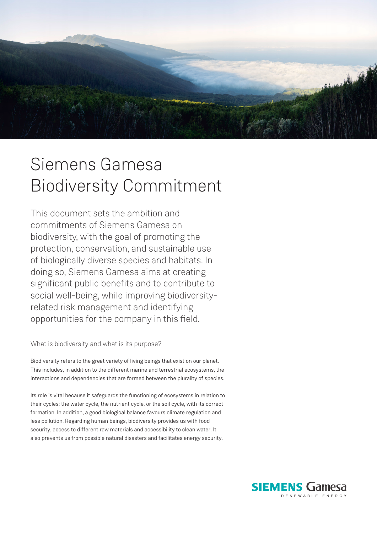

## Siemens Gamesa Biodiversity Commitment

This document sets the ambition and commitments of Siemens Gamesa on biodiversity, with the goal of promoting the protection, conservation, and sustainable use of biologically diverse species and habitats. In doing so, Siemens Gamesa aims at creating significant public benefits and to contribute to social well-being, while improving biodiversityrelated risk management and identifying opportunities for the company in this field.

What is biodiversity and what is its purpose?

Biodiversity refers to the great variety of living beings that exist on our planet. This includes, in addition to the different marine and terrestrial ecosystems, the interactions and dependencies that are formed between the plurality of species.

Its role is vital because it safeguards the functioning of ecosystems in relation to their cycles: the water cycle, the nutrient cycle, or the soil cycle, with its correct formation. In addition, a good biological balance favours climate regulation and less pollution. Regarding human beings, biodiversity provides us with food security, access to different raw materials and accessibility to clean water. It also prevents us from possible natural disasters and facilitates energy security.